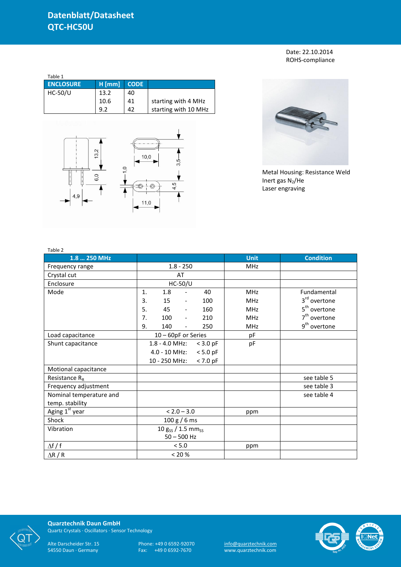Date: 22.10.2014 ROHS-compliance

| Table 1          |          |             |                      |  |  |  |  |
|------------------|----------|-------------|----------------------|--|--|--|--|
| <b>ENCLOSURE</b> | $H$ [mm] | <b>CODE</b> |                      |  |  |  |  |
| $HC-50/U$        | 13.2     | 40          |                      |  |  |  |  |
|                  | 10.6     | 41          | starting with 4 MHz  |  |  |  |  |
|                  | 9.2      | 42          | starting with 10 MHz |  |  |  |  |





Metal Housing: Resistance Weld Inert gas  $N_2$ /He Laser engraving

| Table 2                    |                                              |             |                          |
|----------------------------|----------------------------------------------|-------------|--------------------------|
| 1.8  250 MHz               |                                              | <b>Unit</b> | <b>Condition</b>         |
| Frequency range            | $1.8 - 250$                                  | <b>MHz</b>  |                          |
| Crystal cut                | AT                                           |             |                          |
| Enclosure                  | $HC-50/U$                                    |             |                          |
| Mode                       | 1.<br>1.8<br>40<br>$\overline{\phantom{a}}$  | <b>MHz</b>  | Fundamental              |
|                            | 3.<br>15<br>100<br>$\overline{\phantom{a}}$  | <b>MHz</b>  | 3 <sup>rd</sup> overtone |
|                            | 5.<br>45<br>160<br>$\overline{\phantom{a}}$  | <b>MHz</b>  | 5 <sup>th</sup> overtone |
|                            | 7.<br>100<br>210<br>$\overline{\phantom{a}}$ | <b>MHz</b>  | $7th$ overtone           |
|                            | 9.<br>140<br>250<br>$\overline{\phantom{0}}$ | <b>MHz</b>  | 9 <sup>th</sup> overtone |
| Load capacitance           | 10 - 60pF or Series                          | pF          |                          |
| Shunt capacitance          | 1.8 - 4.0 MHz:<br>$<$ 3.0 pF                 | pF          |                          |
|                            | 4.0 - 10 MHz:<br>$< 5.0$ pF                  |             |                          |
|                            | 10 - 250 MHz:<br>$< 7.0$ pF                  |             |                          |
| Motional capacitance       |                                              |             |                          |
| Resistance $R_R$           |                                              |             | see table 5              |
| Frequency adjustment       |                                              |             | see table 3              |
| Nominal temperature and    |                                              |             | see table 4              |
| temp. stability            |                                              |             |                          |
| Aging 1 <sup>st</sup> year | $< 2.0 - 3.0$                                | ppm         |                          |
| Shock                      | 100 g / 6 ms                                 |             |                          |
| Vibration                  | $10 g_{SS} / 1.5 mm_{SS}$                    |             |                          |
|                            | $50 - 500$ Hz                                |             |                          |
| $\Delta f / f$             | < 5.0                                        | ppm         |                          |
| $\Delta$ R / R             | < 20 %                                       |             |                          |



**Quarztechnik Daun GmbH** Quartz Crystals · Oscillators · Sensor Technology

Alte Darscheider Str. 15 Phone: +49 0 6592-92070 <u>info@quarztechnik.com</u>

54550 Daun · Germany Fax: +49 0 6592-7670 www.quarztechnik.com